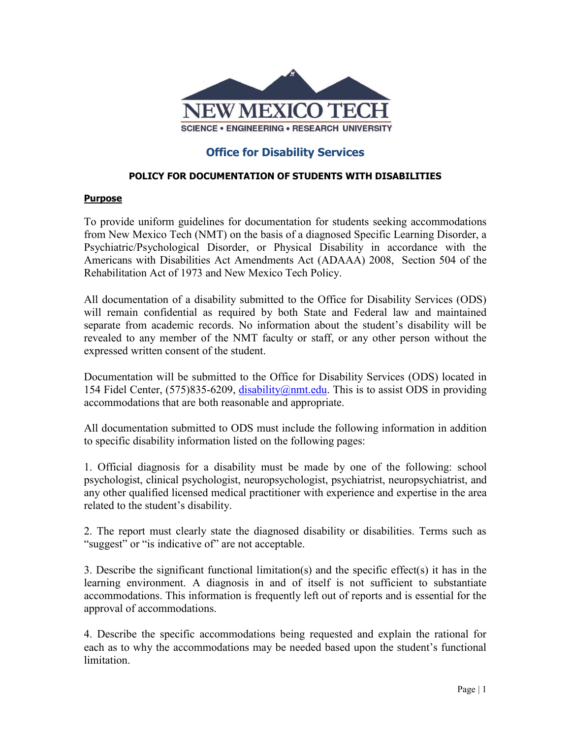

# **Office for Disability Services**

#### **POLICY FOR DOCUMENTATION OF STUDENTS WITH DISABILITIES**

#### **Purpose**

To provide uniform guidelines for documentation for students seeking accommodations from New Mexico Tech (NMT) on the basis of a diagnosed Specific Learning Disorder, a Psychiatric/Psychological Disorder, or Physical Disability in accordance with the Americans with Disabilities Act Amendments Act (ADAAA) 2008, Section 504 of the Rehabilitation Act of 1973 and New Mexico Tech Policy.

All documentation of a disability submitted to the Office for Disability Services (ODS) will remain confidential as required by both State and Federal law and maintained separate from academic records. No information about the student's disability will be revealed to any member of the NMT faculty or staff, or any other person without the expressed written consent of the student.

Documentation will be submitted to the Office for Disability Services (ODS) located in 154 Fidel Center,  $(575)835-6209$ , [disability@nmt.edu.](mailto:disability@nmt.edu) This is to assist ODS in providing accommodations that are both reasonable and appropriate.

All documentation submitted to ODS must include the following information in addition to specific disability information listed on the following pages:

1. Official diagnosis for a disability must be made by one of the following: school psychologist, clinical psychologist, neuropsychologist, psychiatrist, neuropsychiatrist, and any other qualified licensed medical practitioner with experience and expertise in the area related to the student's disability.

2. The report must clearly state the diagnosed disability or disabilities. Terms such as "suggest" or "is indicative of" are not acceptable.

3. Describe the significant functional limitation(s) and the specific effect(s) it has in the learning environment. A diagnosis in and of itself is not sufficient to substantiate accommodations. This information is frequently left out of reports and is essential for the approval of accommodations.

4. Describe the specific accommodations being requested and explain the rational for each as to why the accommodations may be needed based upon the student's functional limitation.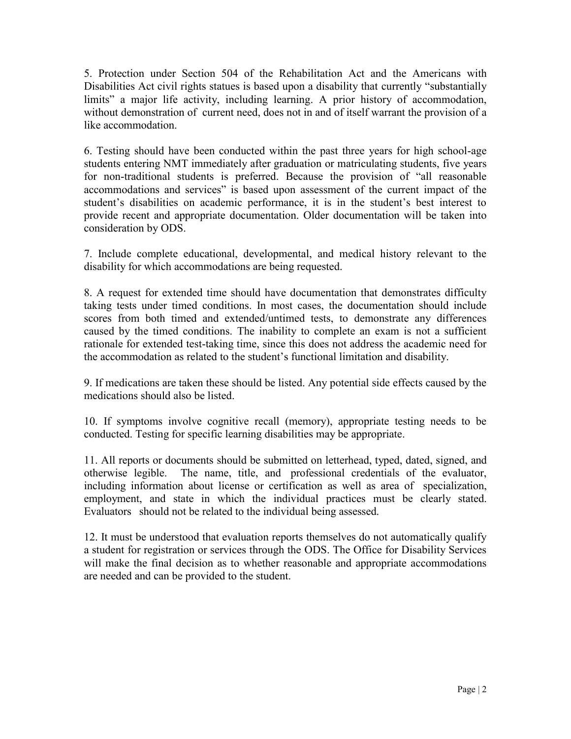5. Protection under Section 504 of the Rehabilitation Act and the Americans with Disabilities Act civil rights statues is based upon a disability that currently "substantially limits" a major life activity, including learning. A prior history of accommodation, without demonstration of current need, does not in and of itself warrant the provision of a like accommodation.

6. Testing should have been conducted within the past three years for high school-age students entering NMT immediately after graduation or matriculating students, five years for non-traditional students is preferred. Because the provision of "all reasonable accommodations and services" is based upon assessment of the current impact of the student's disabilities on academic performance, it is in the student's best interest to provide recent and appropriate documentation. Older documentation will be taken into consideration by ODS.

7. Include complete educational, developmental, and medical history relevant to the disability for which accommodations are being requested.

8. A request for extended time should have documentation that demonstrates difficulty taking tests under timed conditions. In most cases, the documentation should include scores from both timed and extended/untimed tests, to demonstrate any differences caused by the timed conditions. The inability to complete an exam is not a sufficient rationale for extended test-taking time, since this does not address the academic need for the accommodation as related to the student's functional limitation and disability.

9. If medications are taken these should be listed. Any potential side effects caused by the medications should also be listed.

10. If symptoms involve cognitive recall (memory), appropriate testing needs to be conducted. Testing for specific learning disabilities may be appropriate.

11. All reports or documents should be submitted on letterhead, typed, dated, signed, and otherwise legible. The name, title, and professional credentials of the evaluator, including information about license or certification as well as area of specialization, employment, and state in which the individual practices must be clearly stated. Evaluators should not be related to the individual being assessed.

12. It must be understood that evaluation reports themselves do not automatically qualify a student for registration or services through the ODS. The Office for Disability Services will make the final decision as to whether reasonable and appropriate accommodations are needed and can be provided to the student.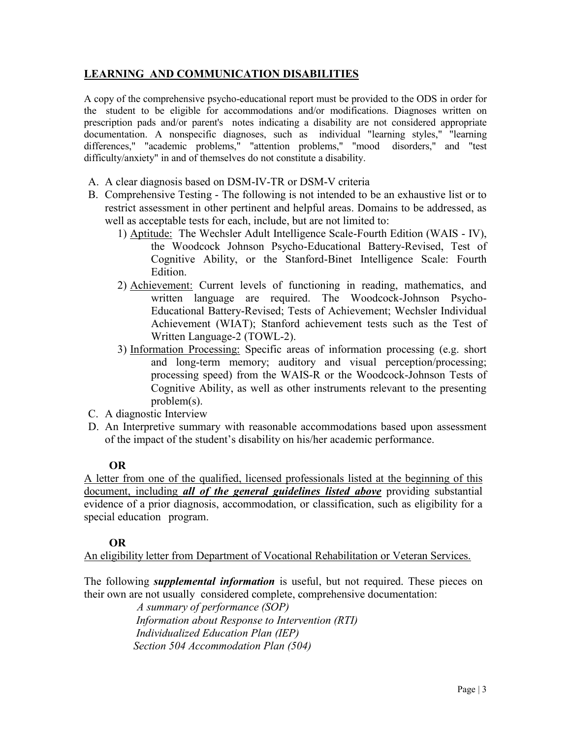## **LEARNING AND COMMUNICATION DISABILITIES**

A copy of the comprehensive psycho-educational report must be provided to the ODS in order for the student to be eligible for accommodations and/or modifications. Diagnoses written on prescription pads and/or parent's notes indicating a disability are not considered appropriate documentation. A nonspecific diagnoses, such as individual "learning styles," "learning differences," "academic problems," "attention problems," "mood disorders," and "test difficulty/anxiety" in and of themselves do not constitute a disability.

- A. A clear diagnosis based on DSM-IV-TR or DSM-V criteria
- B. Comprehensive Testing The following is not intended to be an exhaustive list or to restrict assessment in other pertinent and helpful areas. Domains to be addressed, as well as acceptable tests for each, include, but are not limited to:
	- 1) Aptitude: The Wechsler Adult Intelligence Scale-Fourth Edition (WAIS IV), the Woodcock Johnson Psycho-Educational Battery-Revised, Test of Cognitive Ability, or the Stanford-Binet Intelligence Scale: Fourth Edition.
	- 2) Achievement: Current levels of functioning in reading, mathematics, and written language are required. The Woodcock-Johnson Psycho-Educational Battery-Revised; Tests of Achievement; Wechsler Individual Achievement (WIAT); Stanford achievement tests such as the Test of Written Language-2 (TOWL-2).
	- 3) Information Processing: Specific areas of information processing (e.g. short and long-term memory; auditory and visual perception/processing; processing speed) from the WAIS-R or the Woodcock-Johnson Tests of Cognitive Ability, as well as other instruments relevant to the presenting problem(s).
- C. A diagnostic Interview
- D. An Interpretive summary with reasonable accommodations based upon assessment of the impact of the student's disability on his/her academic performance.

## **OR**

A letter from one of the qualified, licensed professionals listed at the beginning of this document, including *all of the general guidelines listed above* providing substantial evidence of a prior diagnosis, accommodation, or classification, such as eligibility for a special education program.

## **OR**

An eligibility letter from Department of Vocational Rehabilitation or Veteran Services.

The following *supplemental information* is useful, but not required. These pieces on their own are not usually considered complete, comprehensive documentation:

 *A summary of performance (SOP) Information about Response to Intervention (RTI) Individualized Education Plan (IEP) Section 504 Accommodation Plan (504)*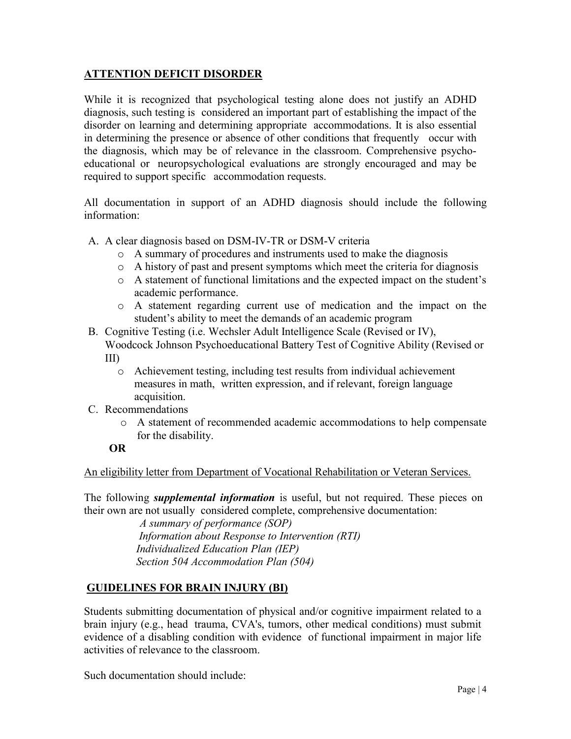## **ATTENTION DEFICIT DISORDER**

While it is recognized that psychological testing alone does not justify an ADHD diagnosis, such testing is considered an important part of establishing the impact of the disorder on learning and determining appropriate accommodations. It is also essential in determining the presence or absence of other conditions that frequently occur with the diagnosis, which may be of relevance in the classroom. Comprehensive psychoeducational or neuropsychological evaluations are strongly encouraged and may be required to support specific accommodation requests.

All documentation in support of an ADHD diagnosis should include the following information:

- A. A clear diagnosis based on DSM-IV-TR or DSM-V criteria
	- o A summary of procedures and instruments used to make the diagnosis
	- o A history of past and present symptoms which meet the criteria for diagnosis
	- o A statement of functional limitations and the expected impact on the student's academic performance.
	- o A statement regarding current use of medication and the impact on the student's ability to meet the demands of an academic program

B. Cognitive Testing (i.e. Wechsler Adult Intelligence Scale (Revised or IV), Woodcock Johnson Psychoeducational Battery Test of Cognitive Ability (Revised or III)

- o Achievement testing, including test results from individual achievement measures in math, written expression, and if relevant, foreign language acquisition.
- C. Recommendations
	- o A statement of recommended academic accommodations to help compensate for the disability.

## **OR**

An eligibility letter from Department of Vocational Rehabilitation or Veteran Services.

The following *supplemental information* is useful, but not required. These pieces on their own are not usually considered complete, comprehensive documentation:

> *A summary of performance (SOP) Information about Response to Intervention (RTI) Individualized Education Plan (IEP) Section 504 Accommodation Plan (504)*

# **GUIDELINES FOR BRAIN INJURY (BI)**

Students submitting documentation of physical and/or cognitive impairment related to a brain injury (e.g., head trauma, CVA's, tumors, other medical conditions) must submit evidence of a disabling condition with evidence of functional impairment in major life activities of relevance to the classroom.

Such documentation should include: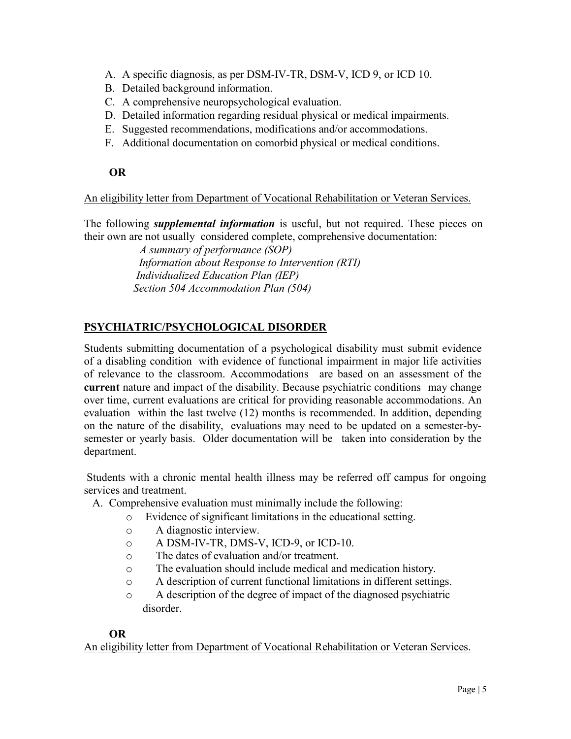- A. A specific diagnosis, as per DSM-IV-TR, DSM-V, ICD 9, or ICD 10.
- B. Detailed background information.
- C. A comprehensive neuropsychological evaluation.
- D. Detailed information regarding residual physical or medical impairments.
- E. Suggested recommendations, modifications and/or accommodations.
- F. Additional documentation on comorbid physical or medical conditions.

## **OR**

An eligibility letter from Department of Vocational Rehabilitation or Veteran Services.

The following *supplemental information* is useful, but not required. These pieces on their own are not usually considered complete, comprehensive documentation:

> *A summary of performance (SOP) Information about Response to Intervention (RTI) Individualized Education Plan (IEP) Section 504 Accommodation Plan (504)*

# **PSYCHIATRIC/PSYCHOLOGICAL DISORDER**

Students submitting documentation of a psychological disability must submit evidence of a disabling condition with evidence of functional impairment in major life activities of relevance to the classroom. Accommodations are based on an assessment of the **current** nature and impact of the disability. Because psychiatric conditions may change over time, current evaluations are critical for providing reasonable accommodations. An evaluation within the last twelve (12) months is recommended. In addition, depending on the nature of the disability, evaluations may need to be updated on a semester-bysemester or yearly basis. Older documentation will be taken into consideration by the department.

Students with a chronic mental health illness may be referred off campus for ongoing services and treatment.

- A. Comprehensive evaluation must minimally include the following:
	- o Evidence of significant limitations in the educational setting.
	- o A diagnostic interview.
	- o A DSM-IV-TR, DMS-V, ICD-9, or ICD-10.
	- o The dates of evaluation and/or treatment.
	- o The evaluation should include medical and medication history.
	- o A description of current functional limitations in different settings.
	- o A description of the degree of impact of the diagnosed psychiatric disorder.

#### **OR**

An eligibility letter from Department of Vocational Rehabilitation or Veteran Services.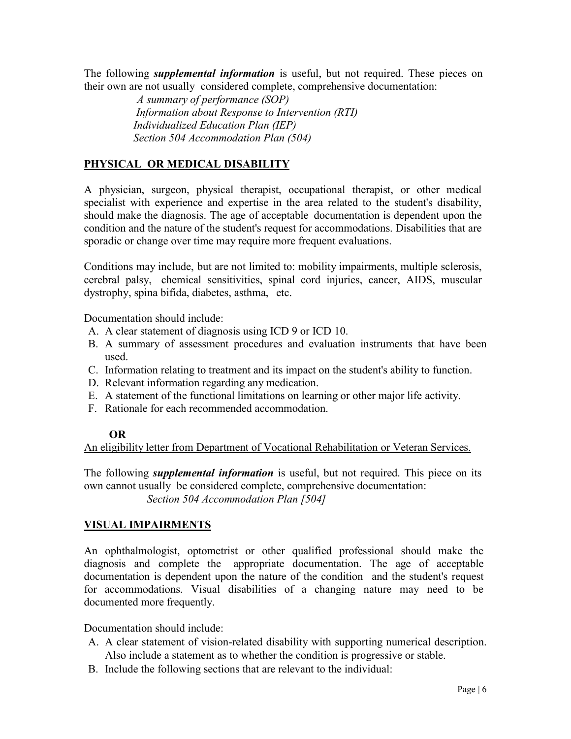The following *supplemental information* is useful, but not required. These pieces on their own are not usually considered complete, comprehensive documentation:

> *A summary of performance (SOP) Information about Response to Intervention (RTI) Individualized Education Plan (IEP) Section 504 Accommodation Plan (504)*

# **PHYSICAL OR MEDICAL DISABILITY**

A physician, surgeon, physical therapist, occupational therapist, or other medical specialist with experience and expertise in the area related to the student's disability, should make the diagnosis. The age of acceptable documentation is dependent upon the condition and the nature of the student's request for accommodations. Disabilities that are sporadic or change over time may require more frequent evaluations.

Conditions may include, but are not limited to: mobility impairments, multiple sclerosis, cerebral palsy, chemical sensitivities, spinal cord injuries, cancer, AIDS, muscular dystrophy, spina bifida, diabetes, asthma, etc.

Documentation should include:

- A. A clear statement of diagnosis using ICD 9 or ICD 10.
- B. A summary of assessment procedures and evaluation instruments that have been used.
- C. Information relating to treatment and its impact on the student's ability to function.
- D. Relevant information regarding any medication.
- E. A statement of the functional limitations on learning or other major life activity.
- F. Rationale for each recommended accommodation.

#### **OR**

An eligibility letter from Department of Vocational Rehabilitation or Veteran Services.

The following *supplemental information* is useful, but not required. This piece on its own cannot usually be considered complete, comprehensive documentation:

 *Section 504 Accommodation Plan [504]*

## **VISUAL IMPAIRMENTS**

An ophthalmologist, optometrist or other qualified professional should make the diagnosis and complete the appropriate documentation. The age of acceptable documentation is dependent upon the nature of the condition and the student's request for accommodations. Visual disabilities of a changing nature may need to be documented more frequently.

Documentation should include:

- A. A clear statement of vision-related disability with supporting numerical description. Also include a statement as to whether the condition is progressive or stable.
- B. Include the following sections that are relevant to the individual: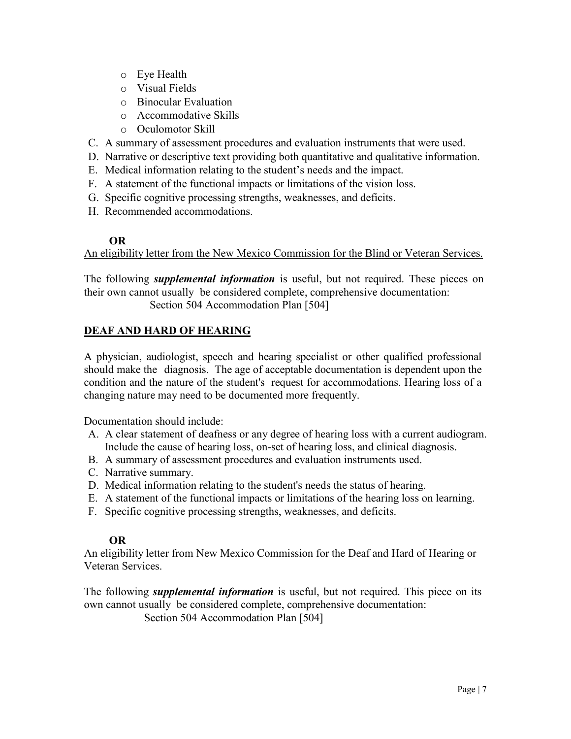- o Eye Health
- o Visual Fields
- o Binocular Evaluation
- o Accommodative Skills
- o Oculomotor Skill
- C. A summary of assessment procedures and evaluation instruments that were used.
- D. Narrative or descriptive text providing both quantitative and qualitative information.
- E. Medical information relating to the student's needs and the impact.
- F. A statement of the functional impacts or limitations of the vision loss.
- G. Specific cognitive processing strengths, weaknesses, and deficits.
- H. Recommended accommodations.

# **OR**

An eligibility letter from the New Mexico Commission for the Blind or Veteran Services.

The following *supplemental information* is useful, but not required. These pieces on their own cannot usually be considered complete, comprehensive documentation: Section 504 Accommodation Plan [504]

# **DEAF AND HARD OF HEARING**

A physician, audiologist, speech and hearing specialist or other qualified professional should make the diagnosis. The age of acceptable documentation is dependent upon the condition and the nature of the student's request for accommodations. Hearing loss of a changing nature may need to be documented more frequently.

Documentation should include:

- A. A clear statement of deafness or any degree of hearing loss with a current audiogram. Include the cause of hearing loss, on-set of hearing loss, and clinical diagnosis.
- B. A summary of assessment procedures and evaluation instruments used.
- C. Narrative summary.
- D. Medical information relating to the student's needs the status of hearing.
- E. A statement of the functional impacts or limitations of the hearing loss on learning.
- F. Specific cognitive processing strengths, weaknesses, and deficits.

## **OR**

An eligibility letter from New Mexico Commission for the Deaf and Hard of Hearing or Veteran Services.

The following *supplemental information* is useful, but not required. This piece on its own cannot usually be considered complete, comprehensive documentation:

Section 504 Accommodation Plan [504]